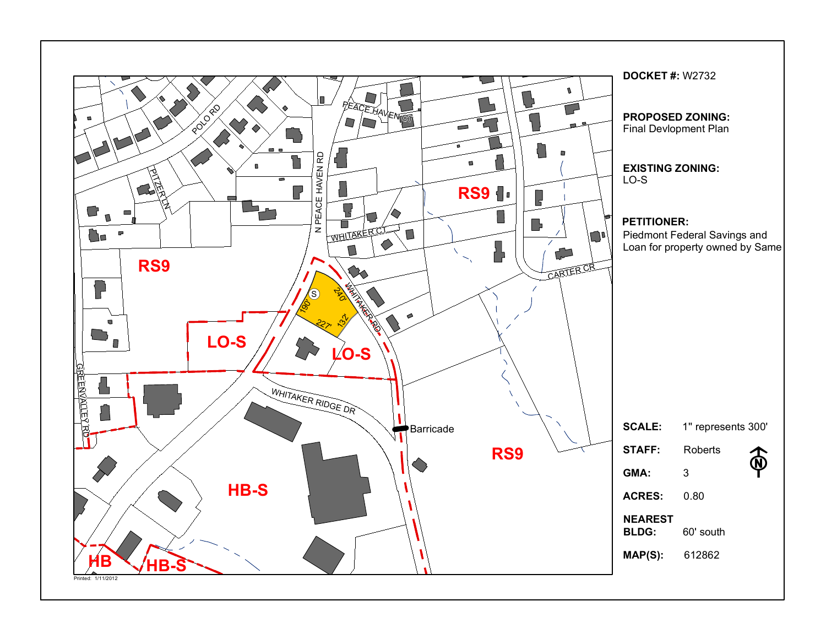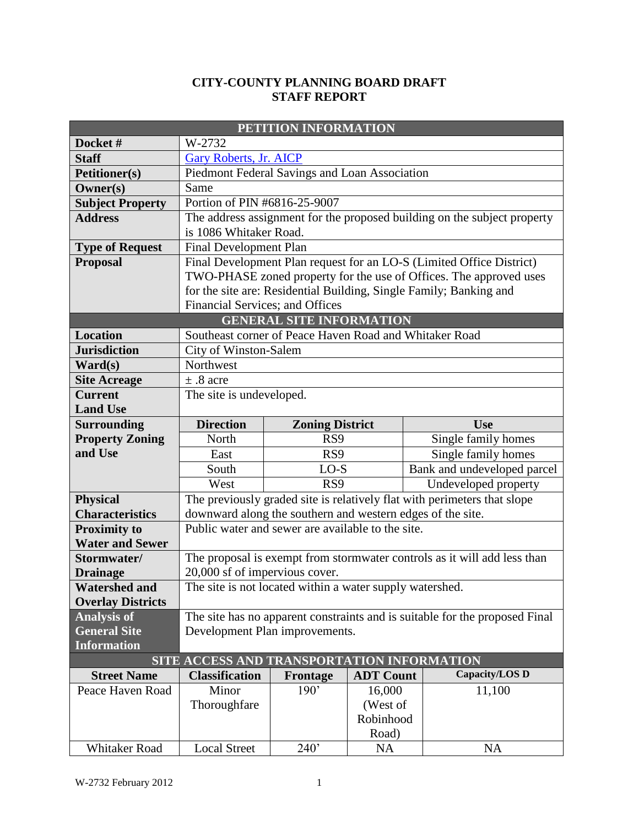#### **CITY-COUNTY PLANNING BOARD DRAFT STAFF REPORT**

| PETITION INFORMATION     |                                                                             |                                 |                    |                                                                          |  |  |  |  |
|--------------------------|-----------------------------------------------------------------------------|---------------------------------|--------------------|--------------------------------------------------------------------------|--|--|--|--|
| Docket#                  | W-2732                                                                      |                                 |                    |                                                                          |  |  |  |  |
| <b>Staff</b>             | Gary Roberts, Jr. AICP                                                      |                                 |                    |                                                                          |  |  |  |  |
| <b>Petitioner(s)</b>     | Piedmont Federal Savings and Loan Association                               |                                 |                    |                                                                          |  |  |  |  |
| Owner(s)                 | Same                                                                        |                                 |                    |                                                                          |  |  |  |  |
| <b>Subject Property</b>  | Portion of PIN #6816-25-9007                                                |                                 |                    |                                                                          |  |  |  |  |
| <b>Address</b>           | The address assignment for the proposed building on the subject property    |                                 |                    |                                                                          |  |  |  |  |
|                          | is 1086 Whitaker Road.                                                      |                                 |                    |                                                                          |  |  |  |  |
| <b>Type of Request</b>   | <b>Final Development Plan</b>                                               |                                 |                    |                                                                          |  |  |  |  |
| <b>Proposal</b>          | Final Development Plan request for an LO-S (Limited Office District)        |                                 |                    |                                                                          |  |  |  |  |
|                          | TWO-PHASE zoned property for the use of Offices. The approved uses          |                                 |                    |                                                                          |  |  |  |  |
|                          |                                                                             |                                 |                    | for the site are: Residential Building, Single Family; Banking and       |  |  |  |  |
|                          | Financial Services; and Offices                                             |                                 |                    |                                                                          |  |  |  |  |
|                          |                                                                             | <b>GENERAL SITE INFORMATION</b> |                    |                                                                          |  |  |  |  |
| <b>Location</b>          | Southeast corner of Peace Haven Road and Whitaker Road                      |                                 |                    |                                                                          |  |  |  |  |
| <b>Jurisdiction</b>      | City of Winston-Salem                                                       |                                 |                    |                                                                          |  |  |  |  |
| $\textbf{Ward}(s)$       | Northwest                                                                   |                                 |                    |                                                                          |  |  |  |  |
| <b>Site Acreage</b>      | $\pm$ .8 acre                                                               |                                 |                    |                                                                          |  |  |  |  |
| <b>Current</b>           | The site is undeveloped.                                                    |                                 |                    |                                                                          |  |  |  |  |
| <b>Land Use</b>          |                                                                             |                                 |                    |                                                                          |  |  |  |  |
| <b>Surrounding</b>       | <b>Direction</b>                                                            | <b>Zoning District</b>          |                    | <b>Use</b>                                                               |  |  |  |  |
| <b>Property Zoning</b>   | North                                                                       | RS9                             |                    | Single family homes                                                      |  |  |  |  |
| and Use                  | East                                                                        | RS9                             |                    | Single family homes                                                      |  |  |  |  |
|                          | South                                                                       | $LO-S$                          |                    | Bank and undeveloped parcel                                              |  |  |  |  |
|                          | West                                                                        | RS9                             |                    | Undeveloped property                                                     |  |  |  |  |
| <b>Physical</b>          |                                                                             |                                 |                    | The previously graded site is relatively flat with perimeters that slope |  |  |  |  |
| <b>Characteristics</b>   | downward along the southern and western edges of the site.                  |                                 |                    |                                                                          |  |  |  |  |
| <b>Proximity to</b>      | Public water and sewer are available to the site.                           |                                 |                    |                                                                          |  |  |  |  |
| <b>Water and Sewer</b>   |                                                                             |                                 |                    |                                                                          |  |  |  |  |
| Stormwater/              | The proposal is exempt from stormwater controls as it will add less than    |                                 |                    |                                                                          |  |  |  |  |
| <b>Drainage</b>          | 20,000 sf of impervious cover.                                              |                                 |                    |                                                                          |  |  |  |  |
| <b>Watershed and</b>     | The site is not located within a water supply watershed.                    |                                 |                    |                                                                          |  |  |  |  |
| <b>Overlay Districts</b> |                                                                             |                                 |                    |                                                                          |  |  |  |  |
| <b>Analysis of</b>       | The site has no apparent constraints and is suitable for the proposed Final |                                 |                    |                                                                          |  |  |  |  |
| <b>General Site</b>      | Development Plan improvements.                                              |                                 |                    |                                                                          |  |  |  |  |
| <b>Information</b>       |                                                                             |                                 |                    |                                                                          |  |  |  |  |
|                          | SITE ACCESS AND TRANSPORTATION INFORMATION                                  |                                 |                    | Capacity/LOS D                                                           |  |  |  |  |
| <b>Street Name</b>       | <b>Classification</b>                                                       | Frontage                        | <b>ADT Count</b>   |                                                                          |  |  |  |  |
| Peace Haven Road         | Minor<br>Thoroughfare                                                       | 190'                            | 16,000<br>(West of | 11,100                                                                   |  |  |  |  |
|                          |                                                                             |                                 |                    |                                                                          |  |  |  |  |
|                          | Robinhood<br>Road)                                                          |                                 |                    |                                                                          |  |  |  |  |
| Whitaker Road            |                                                                             | 240'                            |                    | <b>NA</b>                                                                |  |  |  |  |
|                          | <b>Local Street</b>                                                         |                                 | <b>NA</b>          |                                                                          |  |  |  |  |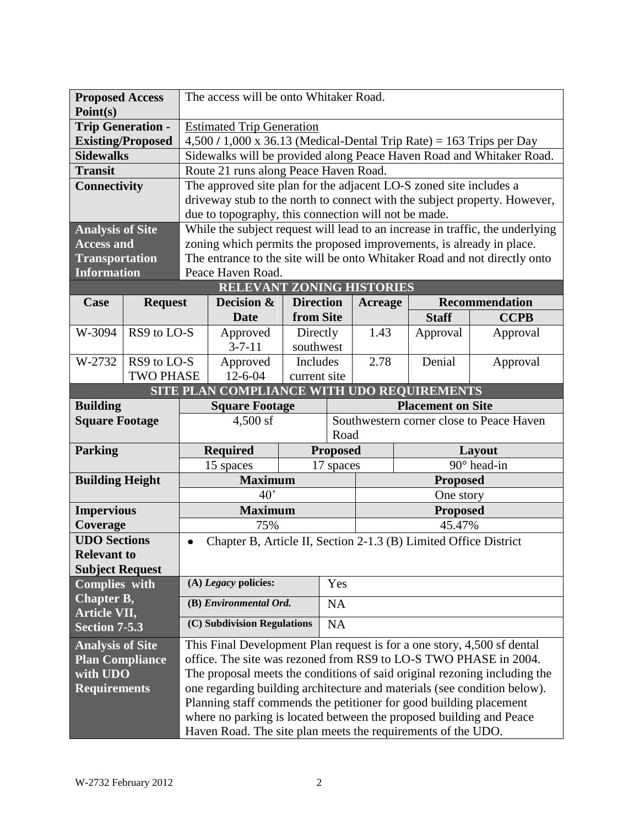| <b>Proposed Access</b><br>Point(s) |                          | The access will be onto Whitaker Road.                                        |                                                                                                                                           |                  |                                                  |                |                 |                                                                           |
|------------------------------------|--------------------------|-------------------------------------------------------------------------------|-------------------------------------------------------------------------------------------------------------------------------------------|------------------|--------------------------------------------------|----------------|-----------------|---------------------------------------------------------------------------|
| <b>Trip Generation -</b>           |                          | <b>Estimated Trip Generation</b>                                              |                                                                                                                                           |                  |                                                  |                |                 |                                                                           |
|                                    | <b>Existing/Proposed</b> | $4,500/1,000 \text{ x } 36.13$ (Medical-Dental Trip Rate) = 163 Trips per Day |                                                                                                                                           |                  |                                                  |                |                 |                                                                           |
| <b>Sidewalks</b>                   |                          | Sidewalks will be provided along Peace Haven Road and Whitaker Road.          |                                                                                                                                           |                  |                                                  |                |                 |                                                                           |
| <b>Transit</b>                     |                          | Route 21 runs along Peace Haven Road.                                         |                                                                                                                                           |                  |                                                  |                |                 |                                                                           |
| <b>Connectivity</b>                |                          | The approved site plan for the adjacent LO-S zoned site includes a            |                                                                                                                                           |                  |                                                  |                |                 |                                                                           |
|                                    |                          | driveway stub to the north to connect with the subject property. However,     |                                                                                                                                           |                  |                                                  |                |                 |                                                                           |
|                                    |                          | due to topography, this connection will not be made.                          |                                                                                                                                           |                  |                                                  |                |                 |                                                                           |
| <b>Analysis of Site</b>            |                          | While the subject request will lead to an increase in traffic, the underlying |                                                                                                                                           |                  |                                                  |                |                 |                                                                           |
| <b>Access and</b>                  |                          | zoning which permits the proposed improvements, is already in place.          |                                                                                                                                           |                  |                                                  |                |                 |                                                                           |
| <b>Transportation</b>              |                          |                                                                               |                                                                                                                                           |                  |                                                  |                |                 | The entrance to the site will be onto Whitaker Road and not directly onto |
| <b>Information</b>                 |                          |                                                                               | Peace Haven Road.                                                                                                                         |                  |                                                  |                |                 |                                                                           |
|                                    |                          |                                                                               | <b>RELEVANT ZONING HISTORIES</b>                                                                                                          |                  |                                                  |                |                 |                                                                           |
| Case                               | <b>Request</b>           |                                                                               | Decision &                                                                                                                                | <b>Direction</b> |                                                  | <b>Acreage</b> |                 | <b>Recommendation</b>                                                     |
|                                    |                          |                                                                               | <b>Date</b>                                                                                                                               | from Site        |                                                  |                | <b>Staff</b>    | <b>CCPB</b>                                                               |
| W-3094                             | RS9 to LO-S              |                                                                               | Approved                                                                                                                                  | Directly         |                                                  | 1.43           | Approval        | Approval                                                                  |
|                                    |                          |                                                                               | $3 - 7 - 11$                                                                                                                              |                  | southwest                                        |                |                 |                                                                           |
| W-2732                             | RS9 to LO-S              |                                                                               | Approved                                                                                                                                  | Includes         |                                                  | 2.78           | Denial          | Approval                                                                  |
|                                    | <b>TWO PHASE</b>         |                                                                               | $12 - 6 - 04$                                                                                                                             | current site     |                                                  |                |                 |                                                                           |
|                                    |                          |                                                                               | SITE PLAN COMPLIANCE WITH UDO REQUIREMENTS                                                                                                |                  |                                                  |                |                 |                                                                           |
| <b>Building</b>                    |                          | <b>Square Footage</b>                                                         |                                                                                                                                           |                  | <b>Placement on Site</b>                         |                |                 |                                                                           |
|                                    |                          |                                                                               |                                                                                                                                           |                  | Southwestern corner close to Peace Haven<br>Road |                |                 |                                                                           |
| <b>Square Footage</b>              |                          |                                                                               | $4,500$ sf                                                                                                                                |                  |                                                  |                |                 |                                                                           |
| <b>Parking</b>                     |                          |                                                                               | <b>Required</b>                                                                                                                           |                  | <b>Proposed</b>                                  |                |                 | Layout                                                                    |
|                                    |                          |                                                                               | 15 spaces                                                                                                                                 |                  | 17 spaces                                        |                |                 | 90° head-in                                                               |
| <b>Building Height</b>             |                          |                                                                               | <b>Maximum</b>                                                                                                                            |                  |                                                  |                | <b>Proposed</b> |                                                                           |
|                                    |                          |                                                                               | 40 <sup>2</sup>                                                                                                                           |                  |                                                  |                | One story       |                                                                           |
| <b>Impervious</b>                  |                          |                                                                               | <b>Maximum</b>                                                                                                                            |                  |                                                  |                | <b>Proposed</b> |                                                                           |
| Coverage                           |                          |                                                                               | 75%                                                                                                                                       |                  |                                                  |                | 45.47%          |                                                                           |
| <b>UDO Sections</b>                |                          | $\bullet$                                                                     | Chapter B, Article II, Section 2-1.3 (B) Limited Office District                                                                          |                  |                                                  |                |                 |                                                                           |
| <b>Relevant to</b>                 |                          |                                                                               |                                                                                                                                           |                  |                                                  |                |                 |                                                                           |
| <b>Subject Request</b>             |                          |                                                                               |                                                                                                                                           |                  |                                                  |                |                 |                                                                           |
| Complies with                      |                          |                                                                               | (A) Legacy policies:                                                                                                                      |                  | Yes                                              |                |                 |                                                                           |
| Chapter B,                         |                          |                                                                               | (B) Environmental Ord.                                                                                                                    |                  | <b>NA</b>                                        |                |                 |                                                                           |
| Article VII,                       |                          |                                                                               |                                                                                                                                           |                  |                                                  |                |                 |                                                                           |
| <b>Section 7-5.3</b>               |                          |                                                                               | (C) Subdivision Regulations                                                                                                               |                  | NA                                               |                |                 |                                                                           |
| <b>Analysis of Site</b>            |                          |                                                                               | This Final Development Plan request is for a one story, 4,500 sf dental                                                                   |                  |                                                  |                |                 |                                                                           |
| <b>Plan Compliance</b>             |                          |                                                                               | office. The site was rezoned from RS9 to LO-S TWO PHASE in 2004.                                                                          |                  |                                                  |                |                 |                                                                           |
| with UDO                           |                          |                                                                               |                                                                                                                                           |                  |                                                  |                |                 | The proposal meets the conditions of said original rezoning including the |
| <b>Requirements</b>                |                          |                                                                               |                                                                                                                                           |                  |                                                  |                |                 | one regarding building architecture and materials (see condition below).  |
|                                    |                          |                                                                               | Planning staff commends the petitioner for good building placement<br>where no parking is located between the proposed building and Peace |                  |                                                  |                |                 |                                                                           |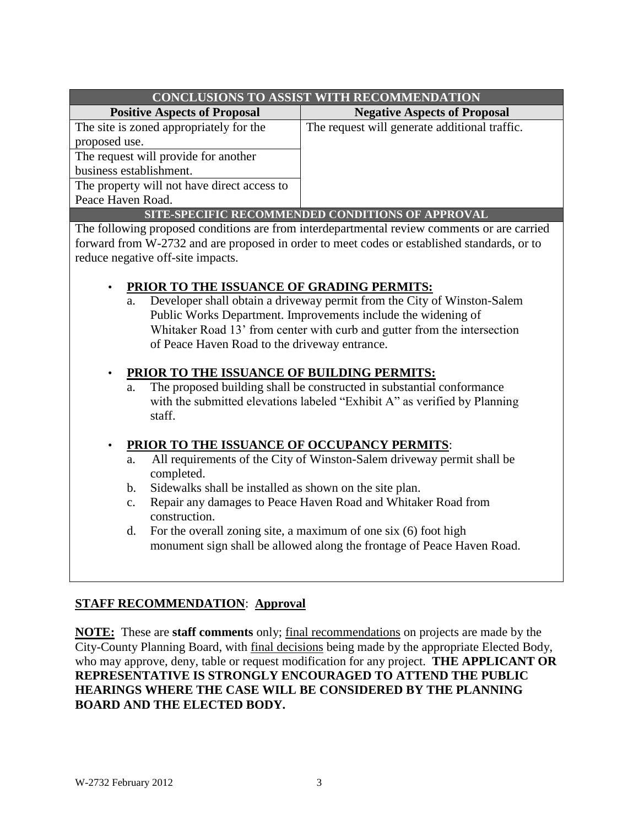| <b>CONCLUSIONS TO ASSIST WITH RECOMMENDATION</b> |                                               |  |  |  |
|--------------------------------------------------|-----------------------------------------------|--|--|--|
| <b>Positive Aspects of Proposal</b>              | <b>Negative Aspects of Proposal</b>           |  |  |  |
| The site is zoned appropriately for the          | The request will generate additional traffic. |  |  |  |
| proposed use.                                    |                                               |  |  |  |
| The request will provide for another             |                                               |  |  |  |
| business establishment.                          |                                               |  |  |  |
| The property will not have direct access to      |                                               |  |  |  |
| Peace Haven Road.                                |                                               |  |  |  |
| SITE-SPECIFIC RECOMMENDED CONDITIONS OF APPROVAL |                                               |  |  |  |

The following proposed conditions are from interdepartmental review comments or are carried forward from W-2732 and are proposed in order to meet codes or established standards, or to reduce negative off-site impacts.

#### • **PRIOR TO THE ISSUANCE OF GRADING PERMITS:**

a. Developer shall obtain a driveway permit from the City of Winston-Salem Public Works Department. Improvements include the widening of Whitaker Road 13' from center with curb and gutter from the intersection of Peace Haven Road to the driveway entrance.

#### • **PRIOR TO THE ISSUANCE OF BUILDING PERMITS:**

a. The proposed building shall be constructed in substantial conformance with the submitted elevations labeled "Exhibit A" as verified by Planning staff.

#### • **PRIOR TO THE ISSUANCE OF OCCUPANCY PERMITS**:

- a. All requirements of the City of Winston-Salem driveway permit shall be completed.
- b. Sidewalks shall be installed as shown on the site plan.
- c. Repair any damages to Peace Haven Road and Whitaker Road from construction.
- d. For the overall zoning site, a maximum of one six (6) foot high monument sign shall be allowed along the frontage of Peace Haven Road.

### **STAFF RECOMMENDATION**: **Approval**

**NOTE:** These are **staff comments** only; final recommendations on projects are made by the City-County Planning Board, with final decisions being made by the appropriate Elected Body, who may approve, deny, table or request modification for any project. **THE APPLICANT OR REPRESENTATIVE IS STRONGLY ENCOURAGED TO ATTEND THE PUBLIC HEARINGS WHERE THE CASE WILL BE CONSIDERED BY THE PLANNING BOARD AND THE ELECTED BODY.**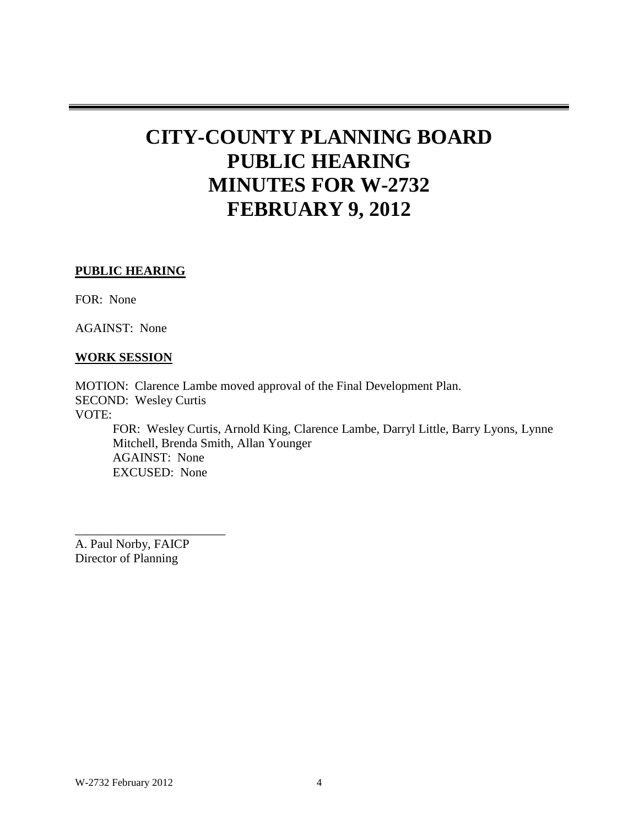# **CITY-COUNTY PLANNING BOARD PUBLIC HEARING MINUTES FOR W-2732 FEBRUARY 9, 2012**

#### **PUBLIC HEARING**

FOR: None

AGAINST: None

#### **WORK SESSION**

MOTION: Clarence Lambe moved approval of the Final Development Plan. SECOND: Wesley Curtis VOTE: FOR: Wesley Curtis, Arnold King, Clarence Lambe, Darryl Little, Barry Lyons, Lynne Mitchell, Brenda Smith, Allan Younger AGAINST: None EXCUSED: None

A. Paul Norby, FAICP Director of Planning

\_\_\_\_\_\_\_\_\_\_\_\_\_\_\_\_\_\_\_\_\_\_\_\_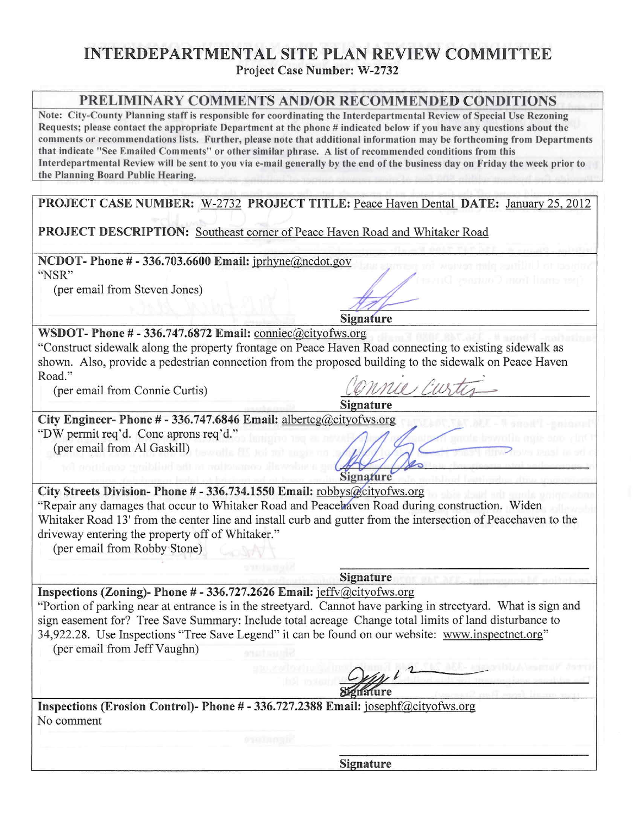## **INTERDEPARTMENTAL SITE PLAN REVIEW COMMITTEE Project Case Number: W-2732**

#### **PRELIMINARY COMMENTS AND/OR RECOMMENDED CONDITIONS**

Note: City-County Planning staff is responsible for coordinating the Interdepartmental Review of Special Use Rezoning Requests; please contact the appropriate Department at the phone # indicated below if you have any questions about the comments or recommendations lists. Further, please note that additional information may be forthcoming from Departments that indicate "See Emailed Comments" or other similar phrase. A list of recommended conditions from this Interdepartmental Review will be sent to you via e-mail generally by the end of the business day on Friday the week prior to the Planning Board Public Hearing.

PROJECT CASE NUMBER: W-2732 PROJECT TITLE: Peace Haven Dental DATE: January 25, 2012

**PROJECT DESCRIPTION:** Southeast corner of Peace Haven Road and Whitaker Road

NCDOT-Phone # - 336.703.6600 Email: jprhyne@ncdot.gov

"NSR"

(per email from Steven Jones)

**Signature** 

Signature

WSDOT-Phone  $# 336.747.6872$  Email: conniec@cityofws.org

"Construct sidewalk along the property frontage on Peace Haven Road connecting to existing sidewalk as shown. Also, provide a pedestrian connection from the proposed building to the sidewalk on Peace Haven Road."

(per email from Connie Curtis)

City Engineer- Phone # - 336.747.6846 Email: albertcg@cityofws.org

"DW permit req'd. Conc aprons req'd." (per email from Al Gaskill)

Signature City Streets Division-Phone # - 336.734.1550 Email: robbys@cityofws.org "Repair any damages that occur to Whitaker Road and Peacehaven Road during construction. Widen Whitaker Road 13' from the center line and install curb and gutter from the intersection of Peacehaven to the driveway entering the property off of Whitaker."

(per email from Robby Stone)

**Signature** 

Inspections (Zoning)- Phone # - 336.727.2626 Email: jeffv@cityofws.org

"Portion of parking near at entrance is in the streetyard. Cannot have parking in streetyard. What is sign and sign easement for? Tree Save Summary: Include total acreage Change total limits of land disturbance to 34,922.28. Use Inspections "Tree Save Legend" it can be found on our website: www.inspectnet.org" (per email from Jeff Vaughn)

Inspections (Erosion Control)- Phone # - 336.727.2388 Email: josephf@cityofws.org No comment

Signature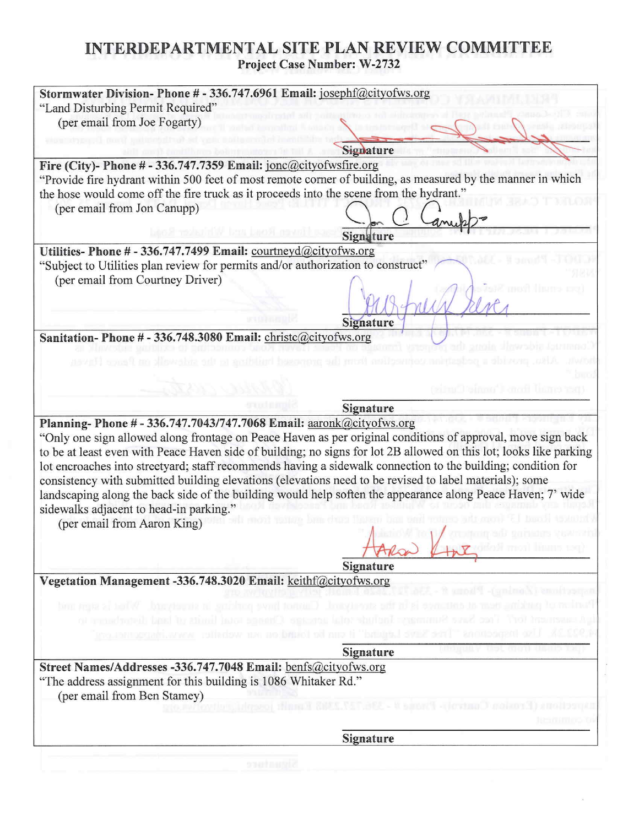# INTERDEPARTMENTAL SITE PLAN REVIEW COMMITTEE Project Case Number: W-2732

| (per email from Joe Fogarty)                                                                                                                                                     |                                                                                                                                                                                                                                                                                                                                        |
|----------------------------------------------------------------------------------------------------------------------------------------------------------------------------------|----------------------------------------------------------------------------------------------------------------------------------------------------------------------------------------------------------------------------------------------------------------------------------------------------------------------------------------|
|                                                                                                                                                                                  | Signature                                                                                                                                                                                                                                                                                                                              |
| Fire (City)- Phone $# 336.747.7359$ Email: jone@cityofwsfire.org                                                                                                                 |                                                                                                                                                                                                                                                                                                                                        |
|                                                                                                                                                                                  | "Provide fire hydrant within 500 feet of most remote corner of building, as measured by the manner in which                                                                                                                                                                                                                            |
| the hose would come off the fire truck as it proceeds into the scene from the hydrant."                                                                                          |                                                                                                                                                                                                                                                                                                                                        |
| (per email from Jon Canupp)                                                                                                                                                      |                                                                                                                                                                                                                                                                                                                                        |
|                                                                                                                                                                                  | Signature                                                                                                                                                                                                                                                                                                                              |
| Utilities-Phone # - 336.747.7499 Email: courtneyd@cityofws.org                                                                                                                   |                                                                                                                                                                                                                                                                                                                                        |
| "Subject to Utilities plan review for permits and/or authorization to construct"                                                                                                 |                                                                                                                                                                                                                                                                                                                                        |
| (per email from Courtney Driver)                                                                                                                                                 |                                                                                                                                                                                                                                                                                                                                        |
|                                                                                                                                                                                  |                                                                                                                                                                                                                                                                                                                                        |
|                                                                                                                                                                                  |                                                                                                                                                                                                                                                                                                                                        |
|                                                                                                                                                                                  | <b>Signature</b>                                                                                                                                                                                                                                                                                                                       |
| Sanitation-Phone # - 336.748.3080 Email: christc@cityofws.org                                                                                                                    |                                                                                                                                                                                                                                                                                                                                        |
|                                                                                                                                                                                  |                                                                                                                                                                                                                                                                                                                                        |
|                                                                                                                                                                                  |                                                                                                                                                                                                                                                                                                                                        |
|                                                                                                                                                                                  |                                                                                                                                                                                                                                                                                                                                        |
|                                                                                                                                                                                  | NOOC'I CIGATI LIGA                                                                                                                                                                                                                                                                                                                     |
|                                                                                                                                                                                  |                                                                                                                                                                                                                                                                                                                                        |
|                                                                                                                                                                                  | Signature                                                                                                                                                                                                                                                                                                                              |
| (per email from Aaron King)                                                                                                                                                      | lot encroaches into streetyard; staff recommends having a sidewalk connection to the building; condition for<br>consistency with submitted building elevations (elevations need to be revised to label materials); some<br>landscaping along the back side of the building would help soften the appearance along Peace Haven; 7' wide |
|                                                                                                                                                                                  | "Only one sign allowed along frontage on Peace Haven as per original conditions of approval, move sign back<br>to be at least even with Peace Haven side of building; no signs for lot 2B allowed on this lot; looks like parking<br>Signature                                                                                         |
| Planning-Phone # - 336.747.7043/747.7068 Email: aaronk@cityofws.org<br>sidewalks adjacent to head-in parking."<br>Vegetation Management -336.748.3020 Email: keithf@cityofws.org | EL - R unoll'I -(unimoli) emolissaran                                                                                                                                                                                                                                                                                                  |
|                                                                                                                                                                                  | Portions of parking near at entered in the steedy-class from the parking in security of Allas is sept                                                                                                                                                                                                                                  |
|                                                                                                                                                                                  |                                                                                                                                                                                                                                                                                                                                        |
|                                                                                                                                                                                  | 22.28. Use inspections "The Sant Using Land" it was founded on nur website: provident and the                                                                                                                                                                                                                                          |
|                                                                                                                                                                                  | Signature                                                                                                                                                                                                                                                                                                                              |
| Street Names/Addresses -336.747.7048 Email: benfs@cityofws.org                                                                                                                   | ightermant for?" Theo Suns Summages Repliefs of a pressure Change total limits to stat districtivity to                                                                                                                                                                                                                                |
| "The address assignment for this building is 1086 Whitaker Rd."                                                                                                                  |                                                                                                                                                                                                                                                                                                                                        |
| (per email from Ben Stamey)                                                                                                                                                      |                                                                                                                                                                                                                                                                                                                                        |
|                                                                                                                                                                                  | Department (Premion Community - San 12, 236, 127, 2368, 1889), except the set to the                                                                                                                                                                                                                                                   |